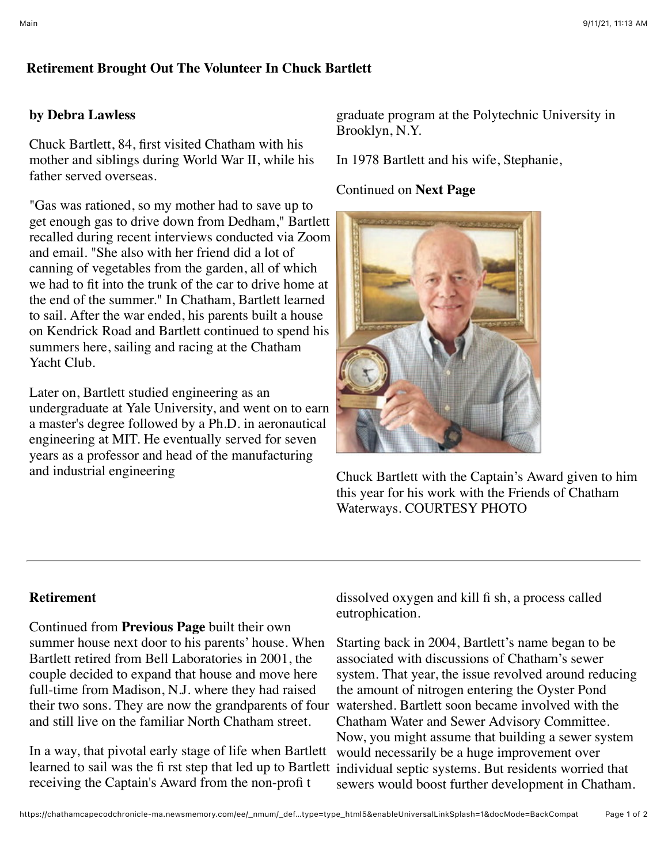## **Retirement Brought Out The Volunteer In Chuck Bartlett**

## **by Debra Lawless**

Chuck Bartlett, 84, first visited Chatham with his mother and siblings during World War II, while his father served overseas.

"Gas was rationed, so my mother had to save up to get enough gas to drive down from Dedham," Bartlett recalled during recent interviews conducted via Zoom and email. "She also with her friend did a lot of canning of vegetables from the garden, all of which we had to fit into the trunk of the car to drive home at the end of the summer." In Chatham, Bartlett learned to sail. After the war ended, his parents built a house on Kendrick Road and Bartlett continued to spend his summers here, sailing and racing at the Chatham Yacht Club.

Later on, Bartlett studied engineering as an undergraduate at Yale University, and went on to earn a master's degree followed by a Ph.D. in aeronautical engineering at MIT. He eventually served for seven years as a professor and head of the manufacturing and industrial engineering

graduate program at the Polytechnic University in Brooklyn, N.Y.

In 1978 Bartlett and his wife, Stephanie,

## Continued on **Next Page**



Chuck Bartlett with the Captain's Award given to him this year for his work with the Friends of Chatham Waterways. COURTESY PHOTO

## **Retirement**

Continued from **Previous Page** built their own summer house next door to his parents' house. When Bartlett retired from Bell Laboratories in 2001, the couple decided to expand that house and move here full-time from Madison, N.J. where they had raised their two sons. They are now the grandparents of four and still live on the familiar North Chatham street.

learned to sail was the fi rst step that led up to Bartlett individual septic systems. But residents worried that In a way, that pivotal early stage of life when Bartlett receiving the Captain's Award from the non-profi t

dissolved oxygen and kill fi sh, a process called eutrophication.

Starting back in 2004, Bartlett's name began to be associated with discussions of Chatham's sewer system. That year, the issue revolved around reducing the amount of nitrogen entering the Oyster Pond watershed. Bartlett soon became involved with the Chatham Water and Sewer Advisory Committee. Now, you might assume that building a sewer system would necessarily be a huge improvement over sewers would boost further development in Chatham.